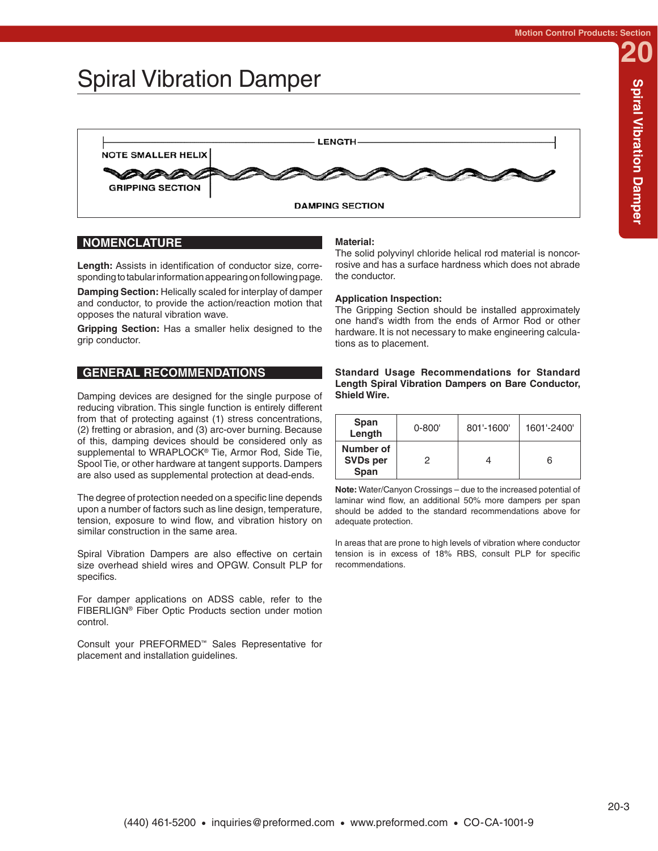## Spiral Vibration Damper



## **NOMENCLATURE**

**Length:** Assists in identification of conductor size, corresponding to tabular information appearing on following page.

**Damping Section:** Helically scaled for interplay of damper and conductor, to provide the action/reaction motion that opposes the natural vibration wave.

**Gripping Section:** Has a smaller helix designed to the grip conductor.

## **GENERAL RECOMMENDATIONS**

Damping devices are designed for the single purpose of reducing vibration. This single function is entirely different from that of protecting against (1) stress concentrations, (2) fretting or abrasion, and (3) arc-over burning. Because of this, damping devices should be considered only as supplemental to WRAPLOCK® Tie, Armor Rod, Side Tie, Spool Tie, or other hardware at tangent supports. Dampers are also used as supplemental protection at dead-ends.

The degree of protection needed on a specific line depends upon a number of factors such as line design, temperature, tension, exposure to wind flow, and vibration history on similar construction in the same area.

Spiral Vibration Dampers are also effective on certain size overhead shield wires and OPGW. Consult PLP for specifics.

For damper applications on ADSS cable, refer to the FIBERLIGN® Fiber Optic Products section under motion control.

Consult your PREFORMED™ Sales Representative for placement and installation guidelines.

### **Material:**

The solid polyvinyl chloride helical rod material is noncorrosive and has a surface hardness which does not abrade the conductor.

### **Application Inspection:**

The Gripping Section should be installed approximately one hand's width from the ends of Armor Rod or other hardware. It is not necessary to make engineering calculations as to placement.

#### **Standard Usage Recommendations for Standard Length Spiral Vibration Dampers on Bare Conductor, Shield Wire.**

| Span<br>Length                       | $0 - 800'$ | 801'-1600' | 1601'-2400' |
|--------------------------------------|------------|------------|-------------|
| Number of<br><b>SVDs per</b><br>Span |            |            | 6           |

**Note:** Water/Canyon Crossings – due to the increased potential of laminar wind flow, an additional 50% more dampers per span should be added to the standard recommendations above for adequate protection.

In areas that are prone to high levels of vibration where conductor tension is in excess of 18% RBS, consult PLP for specific recommendations.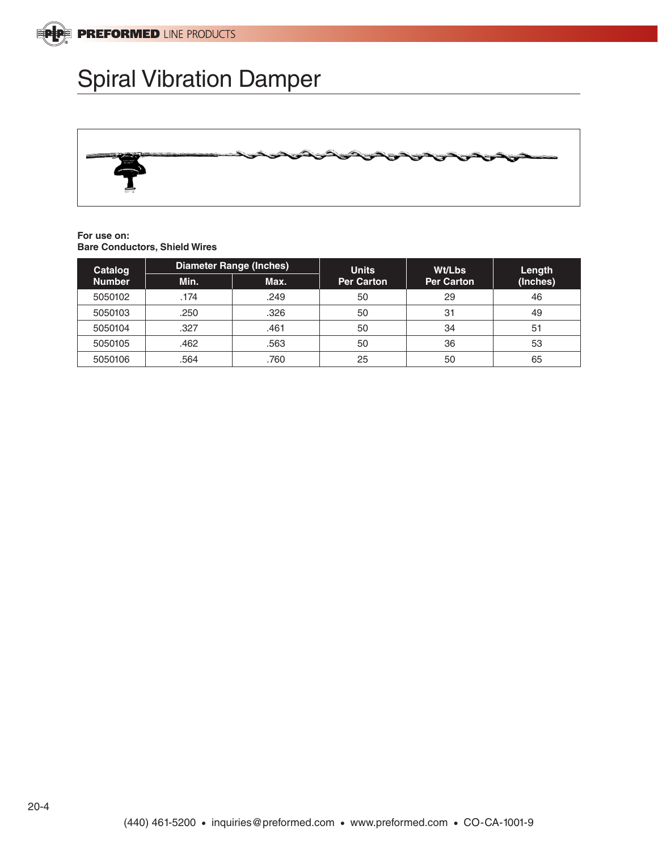

## Spiral Vibration Damper



#### **For use on: Bare Conductors, Shield Wires**

| Catalog<br><b>Number</b> | <b>Diameter Range (Inches)</b> |      | <b>Units</b>      | <b>Wt/Lbs</b>     | Length   |
|--------------------------|--------------------------------|------|-------------------|-------------------|----------|
|                          | Min.                           | Max. | <b>Per Carton</b> | <b>Per Carton</b> | (Inches) |
| 5050102                  | .174                           | .249 | 50                | 29                | 46       |
| 5050103                  | .250                           | .326 | 50                | 31                | 49       |
| 5050104                  | .327                           | .461 | 50                | 34                | 51       |
| 5050105                  | .462                           | .563 | 50                | 36                | 53       |
| 5050106                  | .564                           | .760 | 25                | 50                | 65       |